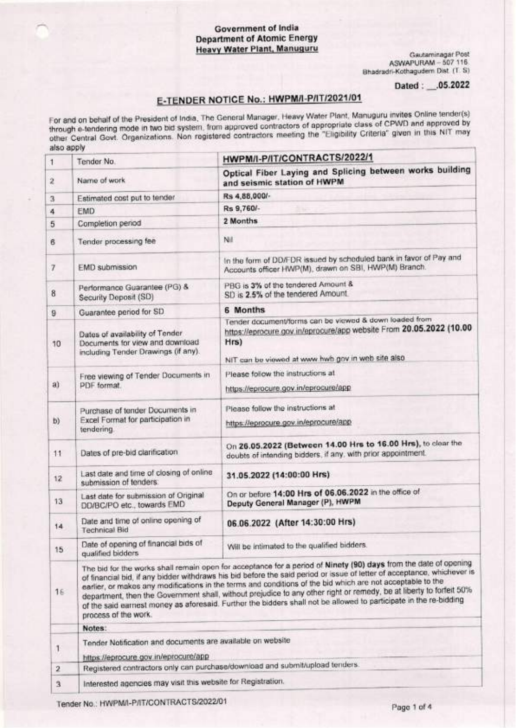### **Government of India Department of Atomic Energy Heavy Water Plant, Manuguru**

Gautaminagar Post<br>ASWAPURAM - 507 116 Bhadradri-Kothagudem Dist (T. S)

Dated: .05.2022

# E-TENDER NOTICE No.: HWPM/I-P/IT/2021/01

For and on behalf of the President of India, The General Manager, Heavy Water Plant, Manuguru invites Online tender(s) through e-tendering mode in two bid system, from approved contractors of appropriate class of CPWD and approved by other Central Govt. Organizations. Non registered contractors meeting the "Eligibility Criteria" given in this NIT may also apply

| $\mathbf{1}$    | Tender No.                                                                                                                                                                                                                                                                                                                                                                                                                                                                                                                                                                                                                    | HWPM/I-P/IT/CONTRACTS/2022/1                                                                                                                                                               |  |  |  |  |
|-----------------|-------------------------------------------------------------------------------------------------------------------------------------------------------------------------------------------------------------------------------------------------------------------------------------------------------------------------------------------------------------------------------------------------------------------------------------------------------------------------------------------------------------------------------------------------------------------------------------------------------------------------------|--------------------------------------------------------------------------------------------------------------------------------------------------------------------------------------------|--|--|--|--|
| $\bar{z}$       | Name of work                                                                                                                                                                                                                                                                                                                                                                                                                                                                                                                                                                                                                  | Optical Fiber Laying and Splicing between works building<br>and seismic station of HWPM                                                                                                    |  |  |  |  |
| 3               | Estimated cost put to tender                                                                                                                                                                                                                                                                                                                                                                                                                                                                                                                                                                                                  | Rs 4,88,000/-                                                                                                                                                                              |  |  |  |  |
| 4               | EMD                                                                                                                                                                                                                                                                                                                                                                                                                                                                                                                                                                                                                           | Rs 9,760/-                                                                                                                                                                                 |  |  |  |  |
| 5               | Completion period                                                                                                                                                                                                                                                                                                                                                                                                                                                                                                                                                                                                             | 2 Months                                                                                                                                                                                   |  |  |  |  |
| 6               | Tender processing fee                                                                                                                                                                                                                                                                                                                                                                                                                                                                                                                                                                                                         | Nil                                                                                                                                                                                        |  |  |  |  |
| 7               | EMD submission                                                                                                                                                                                                                                                                                                                                                                                                                                                                                                                                                                                                                | In the form of DD/FDR issued by scheduled bank in favor of Pay and<br>Accounts officer HWP(M), drawn on SBI, HWP(M) Branch.                                                                |  |  |  |  |
| 8               | Performance Guarantee (PG) &<br>Security Deposit (SD)                                                                                                                                                                                                                                                                                                                                                                                                                                                                                                                                                                         | PBG is 3% of the tendered Amount &<br>SD is 2.5% of the tendered Amount.                                                                                                                   |  |  |  |  |
| 9               | Guarantee period for SD                                                                                                                                                                                                                                                                                                                                                                                                                                                                                                                                                                                                       | 6 Months                                                                                                                                                                                   |  |  |  |  |
| 10              | Dates of availability of Tender<br>Documents for view and download<br>including Tender Drawings (if any).                                                                                                                                                                                                                                                                                                                                                                                                                                                                                                                     | Tender document/forms can be viewed & down loaded from<br>https://eprocure.gov.in/eprocure/app website From 20.05.2022 (10.00<br>Hrs)<br>NIT can be viewed at www.hwb gov in web site also |  |  |  |  |
| a)              | Free viewing of Tender Documents in<br>PDF format.                                                                                                                                                                                                                                                                                                                                                                                                                                                                                                                                                                            | Please follow the instructions at<br>https://eprocure.gov.in/eprocure/app                                                                                                                  |  |  |  |  |
| b)              | Purchase of tender Documents in<br>Excel Format for participation in<br>tendering.                                                                                                                                                                                                                                                                                                                                                                                                                                                                                                                                            | Please follow the instructions at<br>https://eprocure.gov.in/eprocure/app                                                                                                                  |  |  |  |  |
| 11              | Dates of pre-bid clarification                                                                                                                                                                                                                                                                                                                                                                                                                                                                                                                                                                                                | On 26.05.2022 (Between 14.00 Hrs to 16.00 Hrs), to clear the<br>doubts of intending bidders, if any, with prior appointment.                                                               |  |  |  |  |
| 12              | Last date and time of closing of online<br>submission of tenders:                                                                                                                                                                                                                                                                                                                                                                                                                                                                                                                                                             | 31.05.2022 (14:00:00 Hrs)                                                                                                                                                                  |  |  |  |  |
| 13              | Last date for submission of Original<br>DD/BC/PO etc., towards EMD                                                                                                                                                                                                                                                                                                                                                                                                                                                                                                                                                            | On or before 14:00 Hrs of 06.06.2022 in the office of<br>Deputy General Manager (P), HWPM                                                                                                  |  |  |  |  |
| 14              | Date and time of online opening of<br><b>Technical Bid</b>                                                                                                                                                                                                                                                                                                                                                                                                                                                                                                                                                                    | 06.06.2022 (After 14:30:00 Hrs)                                                                                                                                                            |  |  |  |  |
| 15 <sub>5</sub> | Date of opening of financial bids of<br>qualified bidders                                                                                                                                                                                                                                                                                                                                                                                                                                                                                                                                                                     | Will be intimated to the qualified bidders.                                                                                                                                                |  |  |  |  |
| 16              | The bid for the works shall remain open for acceptance for a period of Ninety (90) days from the date of opening<br>of financial bid, if any bidder withdraws his bid before the said period or issue of letter of acceptance, whichever is<br>earlier, or makes any modifications in the terms and conditions of the bid which are not acceptable to the<br>department, then the Government shall, without prejudice to any other right or remedy, be at liberty to forfeit 50%<br>of the said earnest money as aforesaid. Further the bidders shall not be allowed to participate in the re-bidding<br>process of the work. |                                                                                                                                                                                            |  |  |  |  |
|                 | Notes:                                                                                                                                                                                                                                                                                                                                                                                                                                                                                                                                                                                                                        |                                                                                                                                                                                            |  |  |  |  |
| 1               | Tender Notification and documents are available on website<br>https://eprocure.gov.in/eprocure/app                                                                                                                                                                                                                                                                                                                                                                                                                                                                                                                            |                                                                                                                                                                                            |  |  |  |  |
| $\mathbf{2}$    |                                                                                                                                                                                                                                                                                                                                                                                                                                                                                                                                                                                                                               | Registered contractors only can purchase/download and submit/upload tenders.                                                                                                               |  |  |  |  |
|                 | Interested agencies may visit this website for Registration.                                                                                                                                                                                                                                                                                                                                                                                                                                                                                                                                                                  |                                                                                                                                                                                            |  |  |  |  |
| 3               |                                                                                                                                                                                                                                                                                                                                                                                                                                                                                                                                                                                                                               |                                                                                                                                                                                            |  |  |  |  |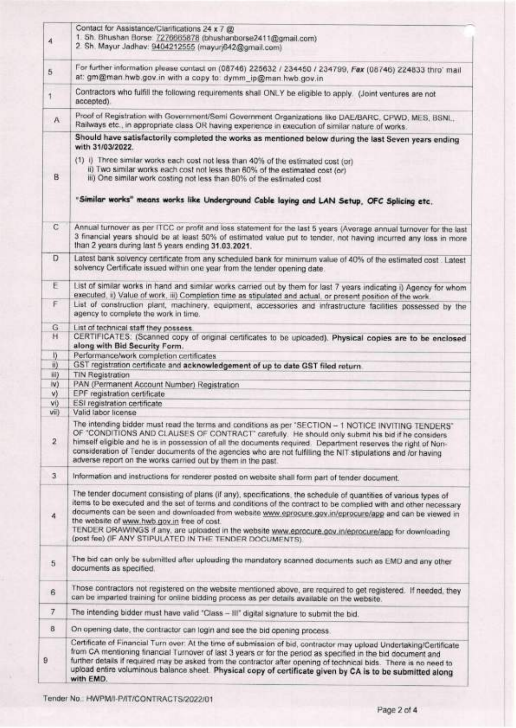|                         | Contact for Assistance/Clarifications 24 x 7 @                                                                                                                                                                                                                                                                                                                                                                                                                                                                                                                    |  |  |  |
|-------------------------|-------------------------------------------------------------------------------------------------------------------------------------------------------------------------------------------------------------------------------------------------------------------------------------------------------------------------------------------------------------------------------------------------------------------------------------------------------------------------------------------------------------------------------------------------------------------|--|--|--|
| $\overline{4}$          | 1. Sh. Bhushan Borse: 7276665878 (bhushanborse2411@gmail.com)                                                                                                                                                                                                                                                                                                                                                                                                                                                                                                     |  |  |  |
|                         | 2. Sh. Mayur Jadhav: 9404212555 (mayurj642@gmail.com)                                                                                                                                                                                                                                                                                                                                                                                                                                                                                                             |  |  |  |
| 5                       | For further information please contact on (08746) 225632 / 234450 / 234799, Fax (08746) 224833 thro' mail<br>at: gm@man.hwb.gov.in with a copy to: dymm_ip@man.hwb.gov.in                                                                                                                                                                                                                                                                                                                                                                                         |  |  |  |
| $\mathbf{r}$            | Contractors who fulfill the following requirements shall ONLY be eligible to apply. (Joint ventures are not<br>accepted).                                                                                                                                                                                                                                                                                                                                                                                                                                         |  |  |  |
| A                       | Proof of Registration with Government/Semi Government Organizations like DAE/BARC, CPWD, MES, BSNL,<br>Railways etc., in appropriate class OR having experience in execution of similar nature of works.                                                                                                                                                                                                                                                                                                                                                          |  |  |  |
|                         | Should have satisfactorily completed the works as mentioned below during the last Seven years ending<br>with 31/03/2022.                                                                                                                                                                                                                                                                                                                                                                                                                                          |  |  |  |
|                         | (1) i) Three similar works each cost not less than 40% of the estimated cost (or)                                                                                                                                                                                                                                                                                                                                                                                                                                                                                 |  |  |  |
|                         | ii) Two similar works each cost not less than 60% of the estimated cost (or)                                                                                                                                                                                                                                                                                                                                                                                                                                                                                      |  |  |  |
| B.                      | iii) One similar work costing not less than 80% of the estimated cost                                                                                                                                                                                                                                                                                                                                                                                                                                                                                             |  |  |  |
|                         | "Similar works" means works like Underground Cable laying and LAN Setup, OFC Splicing etc.                                                                                                                                                                                                                                                                                                                                                                                                                                                                        |  |  |  |
| $\mathbb{C}$            | Annual turnover as per ITCC or profit and loss statement for the last 5 years (Average annual turnover for the last<br>3 financial years should be at least 50% of estimated value put to tender, not having incurred any loss in more<br>than 2 years during last 5 years ending 31.03.2021.                                                                                                                                                                                                                                                                     |  |  |  |
| D                       | Latest bank solvency certificate from any scheduled bank for minimum value of 40% of the estimated cost . Latest<br>solvency Certificate issued within one year from the tender opening date.                                                                                                                                                                                                                                                                                                                                                                     |  |  |  |
| E                       | List of similar works in hand and similar works carried out by them for last 7 years indicating i) Agency for whom<br>executed, ii) Value of work, iii) Completion time as stipulated and actual, or present position of the work.                                                                                                                                                                                                                                                                                                                                |  |  |  |
| F                       | List of construction plant, machinery, equipment, accessories and infrastructure facilities possessed by the<br>agency to complete the work in time.                                                                                                                                                                                                                                                                                                                                                                                                              |  |  |  |
| G.                      | List of technical staff they possess.                                                                                                                                                                                                                                                                                                                                                                                                                                                                                                                             |  |  |  |
| н.                      | CERTIFICATES: (Scanned copy of original certificates to be uploaded). Physical copies are to be enclosed<br>along with Bid Security Form.                                                                                                                                                                                                                                                                                                                                                                                                                         |  |  |  |
| I)                      | Performance/work completion certificates                                                                                                                                                                                                                                                                                                                                                                                                                                                                                                                          |  |  |  |
| ii)                     | GST registration certificate and acknowledgement of up to date GST filed return.                                                                                                                                                                                                                                                                                                                                                                                                                                                                                  |  |  |  |
| iii)                    | <b>TIN Registration</b>                                                                                                                                                                                                                                                                                                                                                                                                                                                                                                                                           |  |  |  |
| $ V\rangle$             | PAN (Permanent Account Number) Registration                                                                                                                                                                                                                                                                                                                                                                                                                                                                                                                       |  |  |  |
| V)                      | EPF registration certificate                                                                                                                                                                                                                                                                                                                                                                                                                                                                                                                                      |  |  |  |
| vil<br>Vil)             | ESI registration certificate<br>Valid labor license                                                                                                                                                                                                                                                                                                                                                                                                                                                                                                               |  |  |  |
| $\overline{\mathbf{2}}$ | The intending bidder must read the terms and conditions as per 'SECTION - 1 NOTICE INVITING TENDERS'<br>OF "CONDITIONS AND CLAUSES OF CONTRACT" carefully. He should only submit his bid if he considers<br>himself eligible and he is in possession of all the documents required. Department reserves the right of Non-<br>consideration of Tender documents of the agencies who are not fulfilling the NIT stipulations and /or having<br>adverse report on the works carried out by them in the past.                                                         |  |  |  |
| 3                       | Information and instructions for renderer posted on website shall form part of tender document.                                                                                                                                                                                                                                                                                                                                                                                                                                                                   |  |  |  |
| 4                       | The tender document consisting of plans (if any), specifications, the schedule of quantities of various types of<br>items to be executed and the set of terms and conditions of the contract to be complied with and other necessary<br>documents can be seen and downloaded from website www.eprocure.gov.in/eprocure/app and can be viewed in<br>the website of www.hwb.gov.in free of cost.<br>TENDER DRAWINGS if any, are uploaded in the website www.eprocure.gov.in/eprocure/app for downloading<br>(post fee) (IF ANY STIPULATED IN THE TENDER DOCUMENTS). |  |  |  |
| 5                       | The bid can only be submitted after uploading the mandatory scanned documents such as EMD and any other<br>documents as specified.                                                                                                                                                                                                                                                                                                                                                                                                                                |  |  |  |
| 6                       | Those contractors not registered on the website mentioned above, are required to get registered. If needed, they<br>can be imparted training for online bidding process as per details available on the website.                                                                                                                                                                                                                                                                                                                                                  |  |  |  |
| 7                       | The intending bidder must have valid "Class - III" digital signature to submit the bid.                                                                                                                                                                                                                                                                                                                                                                                                                                                                           |  |  |  |
| 8                       | On opening date, the contractor can login and see the bid opening process.                                                                                                                                                                                                                                                                                                                                                                                                                                                                                        |  |  |  |
| $\theta$                | Certificate of Financial Turn over: At the time of submission of bid, contractor may upload Undertaking/Certificate<br>from CA mentioning financial Turnover of last 3 years or for the period as specified in the bid document and<br>further details if required may be asked from the contractor after opening of technical bids. There is no need to<br>upload entire voluminous balance sheet. Physical copy of certificate given by CA is to be submitted along<br>with EMD.                                                                                |  |  |  |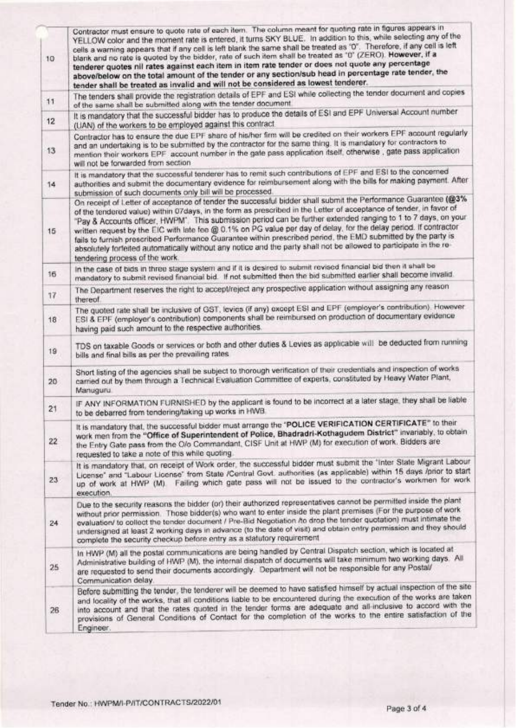| 10 | Contractor must ensure to quote rate of each item. The column meant for quoting rate in figures appears in<br>YELLOW color and the moment rate is entered, it turns SKY BLUE. In addition to this, while selecting any of the<br>cells a warning appears that if any cell is left blank the same shall be treated as "0". Therefore, if any cell is left<br>blank and no rate is quoted by the bidder, rate of such item shall be treated as '0" (ZERO). However, if a<br>tenderer quotes nil rates against each item in item rate tender or does not quote any percentage<br>above/below on the total amount of the tender or any section/sub head in percentage rate tender, the<br>tender shall be treated as invalid and will not be considered as lowest tenderer. |  |  |  |  |
|----|-------------------------------------------------------------------------------------------------------------------------------------------------------------------------------------------------------------------------------------------------------------------------------------------------------------------------------------------------------------------------------------------------------------------------------------------------------------------------------------------------------------------------------------------------------------------------------------------------------------------------------------------------------------------------------------------------------------------------------------------------------------------------|--|--|--|--|
| 11 | The tenders shall provide the registration details of EPF and ESI while collecting the tender document and copies<br>of the same shall be submitted along with the tender document.                                                                                                                                                                                                                                                                                                                                                                                                                                                                                                                                                                                     |  |  |  |  |
| 12 | It is mandatory that the successful bidder has to produce the details of ESI and EPF Universal Account number<br>(UAN) of the workers to be employed against this contract.                                                                                                                                                                                                                                                                                                                                                                                                                                                                                                                                                                                             |  |  |  |  |
| 13 | Contractor has to ensure the due EPF share of his/her firm will be credited on their workers EPF account regularly<br>and an undertaking is to be submitted by the contractor for the same thing. It is mandatory for contractors to<br>mention their workers EPF account number in the gate pass application itself, otherwise, gate pass application<br>will not be forwarded from section                                                                                                                                                                                                                                                                                                                                                                            |  |  |  |  |
| 14 | It is mandatory that the successful tenderer has to remit such contributions of EPF and ESI to the concerned<br>authorities and submit the documentary evidence for reimbursement along with the bills for making payment. After<br>submission of such documents only bill will be processed.                                                                                                                                                                                                                                                                                                                                                                                                                                                                           |  |  |  |  |
| 15 | On receipt of Letter of acceptance of tender the successful bidder shall submit the Performance Guarantee (@3%<br>of the tendered value) within 07days, in the form as prescribed in the Letter of acceptance of tender, in favor of<br>"Pay & Accounts officer, HWPM". This submission period can be further extended ranging to 1 to 7 days, on your<br>written request by the EIC with late fee @ 0.1% on PG value per day of delay, for the delay period. If contractor<br>fails to furnish prescribed Performance Guarantee within prescribed period, the EMD submitted by the party is<br>absolutely forfeited automatically without any notice and the party shall not be allowed to participate in the re-<br>tendering process of the work.                    |  |  |  |  |
| 16 | In the case of bids in three stage system and if it is desired to submit revised financial bid then it shall be<br>mandatory to submit revised financial bid. If not submitted then the bid submitted earlier shall become invalid.                                                                                                                                                                                                                                                                                                                                                                                                                                                                                                                                     |  |  |  |  |
| 17 | The Department reserves the right to accept/reject any prospective application without assigning any reason<br>thereof.                                                                                                                                                                                                                                                                                                                                                                                                                                                                                                                                                                                                                                                 |  |  |  |  |
| 18 | The quoted rate shall be inclusive of GST, levics (if any) except ESI and EPF (employer's contribution). However<br>ESI & EPF (employer's contribution) components shall be reimbursed on production of documentary evidence<br>having paid such amount to the respective authorities.                                                                                                                                                                                                                                                                                                                                                                                                                                                                                  |  |  |  |  |
| 19 | TDS on taxable Goods or services or both and other duties & Levies as applicable will be deducted from running<br>bills and final bills as per the prevailing rates                                                                                                                                                                                                                                                                                                                                                                                                                                                                                                                                                                                                     |  |  |  |  |
| 20 | Short listing of the agencies shall be subject to thorough verification of their credentials and inspection of works<br>carried out by them through a Technical Evaluation Committee of experts, constituted by Heavy Water Plant,<br>Manuguru                                                                                                                                                                                                                                                                                                                                                                                                                                                                                                                          |  |  |  |  |
| 21 | IF ANY INFORMATION FURNISHED by the applicant is found to be incorrect at a later stage, they shall be liable<br>to be debarred from tendering/taking up works in HWB.                                                                                                                                                                                                                                                                                                                                                                                                                                                                                                                                                                                                  |  |  |  |  |
| 22 | It is mandatory that, the successful bidder must arrange the "POLICE VERIFICATION CERTIFICATE" to their<br>work men from the "Office of Superintendent of Police, Bhadradri-Kothagudem District" invariably, to obtain<br>the Entry Gate pass from the O/o Commandant, CISF Unit at HWP (M) for execution of work. Bidders are<br>requested to take a note of this while quoting.                                                                                                                                                                                                                                                                                                                                                                                       |  |  |  |  |
| 23 | It is mandatory that, on receipt of Work order, the successful bidder must submit the "Inter State Migrant Labour<br>License" and "Labour License" from State /Contral Govt. authorities (as applicable) within 15 days /prior to start<br>up of work at HWP (M). Failing which gate pass will not be issued to the contractor's workmen for work<br>execution.                                                                                                                                                                                                                                                                                                                                                                                                         |  |  |  |  |
| 24 | Due to the security reasons the bidder (or) their authorized representatives cannot be permitted inside the plant<br>without prior permission. Those bidder(s) who want to enter inside the plant premises (For the purpose of work<br>evaluation/ to collect the tender document / Pre-Bid Negotiation /to drop the tender quotation) must intimate the<br>undersigned at least 2 working days in advance (to the date of visit) and obtain entry permission and they should<br>complete the security checkup before entry as a statutory requirement                                                                                                                                                                                                                  |  |  |  |  |
| 25 | In HWP (M) all the postal communications are being handled by Central Dispatch section, which is located at<br>Administrative building of HWP (M), the internal dispatch of documents will take minimum two working days. All<br>are requested to send their documents accordingly. Department will not be responsible for any Postal/<br>Communication delay.                                                                                                                                                                                                                                                                                                                                                                                                          |  |  |  |  |
| 26 | Before submitting the tender, the tenderer will be deemed to have satisfied himself by actual inspection of the site<br>and locality of the works, that all conditions liable to be encountered during the execution of the works are taken<br>into account and that the rates quoted in the tender forms are adequate and all-inclusive to accord with the<br>provisions of General Conditions of Contact for the completion of the works to the entire satisfaction of the<br>Engineer.                                                                                                                                                                                                                                                                               |  |  |  |  |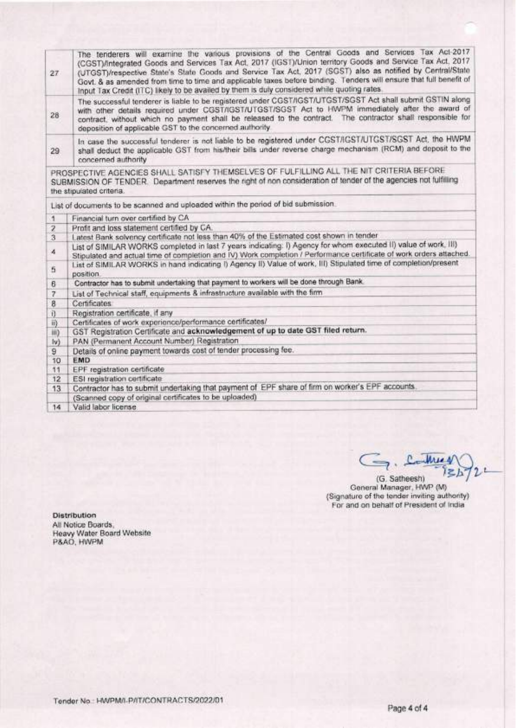| $27 -$                  | The tenderers will examine the various provisions of the Central Goods and Services Tax Act-2017<br>(CGST)/Integrated Goods and Services Tax Act, 2017 (IGST)/Union territory Goods and Service Tax Act, 2017<br>(UTGST)/respective State's State Goods and Service Tax Act, 2017 (SGST) also as notified by Central/State                                                               |  |  |  |  |  |
|-------------------------|------------------------------------------------------------------------------------------------------------------------------------------------------------------------------------------------------------------------------------------------------------------------------------------------------------------------------------------------------------------------------------------|--|--|--|--|--|
|                         | Govt. & as amended from time to time and applicable taxes before binding. Tenders will ensure that full benefit of<br>Input Tax Credit (ITC) likely to be availed by them is duly considered while quoting rates.                                                                                                                                                                        |  |  |  |  |  |
| 28                      | The successful tenderer is liable to be registered under CGST/IGST/UTGST/SGST Act shall submit GSTIN along<br>with other details required under CGST/IGST/UTGST/SGST Act to HWPM immediately after the award of<br>contract, without which no payment shall be released to the contract. The contractor shall responsible for<br>deposition of applicable GST to the concerned authority |  |  |  |  |  |
| 29                      | In case the successful tenderer is not liable to be registered under CGST/IGST/UTGST/SGST Act, the HWPM<br>shall deduct the applicable GST from his/their bills under reverse charge mechanism (RCM) and deposit to the<br>concerned authority                                                                                                                                           |  |  |  |  |  |
|                         | PROSPECTIVE AGENCIES SHALL SATISFY THEMSELVES OF FULFILLING ALL THE NIT CRITERIA BEFORE<br>SUBMISSION OF TENDER. Department reserves the right of non consideration of tender of the agencies not fulfilling<br>the stipulated criteria.                                                                                                                                                 |  |  |  |  |  |
|                         | List of documents to be scanned and uploaded within the period of bid submission.                                                                                                                                                                                                                                                                                                        |  |  |  |  |  |
| $\mathbf{1}$            | Financial turn over certified by CA                                                                                                                                                                                                                                                                                                                                                      |  |  |  |  |  |
| $\overline{\mathbf{z}}$ | Profit and loss statement certified by CA.                                                                                                                                                                                                                                                                                                                                               |  |  |  |  |  |
| 3                       | Latest Bank solvency certificate not less than 40% of the Estimated cost shown in tender                                                                                                                                                                                                                                                                                                 |  |  |  |  |  |
| 4                       | List of SIMILAR WORKS completed in last 7 years indicating: I) Agency for whom executed II) value of work, III)<br>Stipulated and actual time of completion and IV) Work completion / Performance certificate of work orders attached.                                                                                                                                                   |  |  |  |  |  |
| 5                       | List of SIMILAR WORKS in hand indicating I) Agency II) Value of work, III) Stipulated time of completion/present<br>position.                                                                                                                                                                                                                                                            |  |  |  |  |  |
| 6                       | Contractor has to submit undertaking that payment to workers will be done through Bank.                                                                                                                                                                                                                                                                                                  |  |  |  |  |  |
| 7                       | List of Technical staff, equipments & infrastructure available with the firm                                                                                                                                                                                                                                                                                                             |  |  |  |  |  |
| 8                       | Certificates                                                                                                                                                                                                                                                                                                                                                                             |  |  |  |  |  |
| i)                      | Registration certificate, if any                                                                                                                                                                                                                                                                                                                                                         |  |  |  |  |  |
| 哥                       | Certificates of work experience/performance certificates/                                                                                                                                                                                                                                                                                                                                |  |  |  |  |  |
| HO.                     | GST Registration Certificate and acknowledgement of up to date GST filed return.                                                                                                                                                                                                                                                                                                         |  |  |  |  |  |
| $ v\rangle$             | PAN (Permanent Account Number) Registration                                                                                                                                                                                                                                                                                                                                              |  |  |  |  |  |
| 9                       | Details of online payment towards cost of tender processing fee.                                                                                                                                                                                                                                                                                                                         |  |  |  |  |  |
| 10                      | EMD                                                                                                                                                                                                                                                                                                                                                                                      |  |  |  |  |  |
| 11                      | EPF registration certificate                                                                                                                                                                                                                                                                                                                                                             |  |  |  |  |  |
| 12                      | ESI registration certificate                                                                                                                                                                                                                                                                                                                                                             |  |  |  |  |  |
| 13                      | Contractor has to submit undertaking that payment of EPF share of firm on worker's EPF accounts.                                                                                                                                                                                                                                                                                         |  |  |  |  |  |
|                         | (Scanned copy of original certificates to be uploaded)                                                                                                                                                                                                                                                                                                                                   |  |  |  |  |  |
| 14.                     | Valid labor license                                                                                                                                                                                                                                                                                                                                                                      |  |  |  |  |  |

G. Contrary  $l$  $\geq$  $h$ 

(G. Satheesh)<br>
General Manager, HWP (M)<br>
(Signature of the tender inviting authority)<br>
For and on behalf of President of India

Distribution All Notice Boards,<br>Heavy Water Board Website<br>P&AO, HWPM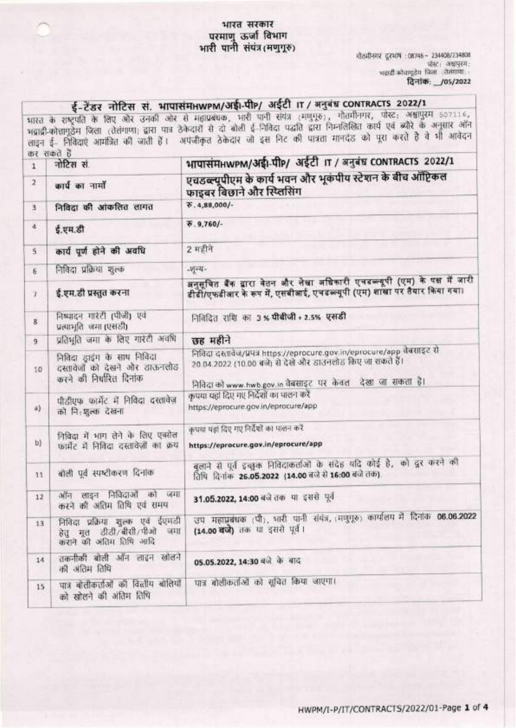# भारत सरकार परमाणु ऊर्जा विभाग<br>भारी पानी संयंत्र(मणुगुरु)

गौतमीनगर दुरभाष : 08745 - 234408/234808 .<br>भवादी कोचामुद्रेम जिला : तेलंगामा दिनांक: /05/2022

र्**ई-टेंडर नोटिस सं. भापासंमानwPM/अईi-पीP/ अईटी IT / अनुबंध CONTRACTS 2022/1**<br>भारत के राष्ट्रपति के लिए ओर उनकी ओर से महाप्रबंधक, भारी पानी संयंत्र (मणुगूरु), गौतमीनगर, पोस्ट: अश्वापुरम 507116,<br>भद्राद्री-कोत्तागुठेम जिला

| 1               | नोटिस सं                                                                                   | भापासंमHWPM/अईl-पीP/ अईटी IT / अनुबंध CONTRACTS 2022/1                                                                                                                                             |  |  |  |
|-----------------|--------------------------------------------------------------------------------------------|----------------------------------------------------------------------------------------------------------------------------------------------------------------------------------------------------|--|--|--|
| $\overline{a}$  | कार्य का नामों                                                                             | एचडब्ल्यूपीएम के कार्य भवन और भूकंपीय स्टेशन के बीच ऑप्टिकल<br>फाइबर बिछाने और स्प्लिसिंग                                                                                                          |  |  |  |
| 3               | निविदा की आंकलित लागत                                                                      | $\overline{6}$ . 4,88,000/-                                                                                                                                                                        |  |  |  |
| $\ddot{a}$      | ई.एम.डी                                                                                    | $\overline{6}$ . 9,760/-                                                                                                                                                                           |  |  |  |
| 5               | कार्य पूर्ण होने की अवधि                                                                   | 2 महीने                                                                                                                                                                                            |  |  |  |
| 6               | निविदा प्रक्रिया शुल्क                                                                     | $-14 - 14$                                                                                                                                                                                         |  |  |  |
| $\mathcal{T}$   | ई.एम.डी प्रस्तुत करना                                                                      | अनुसूचित बैंक द्वारा वेतन और लेखा अधिकारी एचडब्ल्यूपी (एम) के पक्ष में जारी<br>डीडी/एफडीआर के रूप में, एसबीआई, एचडब्ल्यूपी (एम) शाखा पर तैयार किया गया।                                            |  |  |  |
| $8^{\circ}$     | निष्पादन गारेटी (पीजी) एवं<br>प्रत्याभूति जमा (एसडी)                                       | निविदित राशि का 3% पीबीजी + 2.5% एसडी                                                                                                                                                              |  |  |  |
| 9               | प्रतिभूति जमा के लिए गारंटी अवधि                                                           | छह महीने                                                                                                                                                                                           |  |  |  |
| 10              | निविदा ड्राइंग के साथ निविदा<br>दस्तावेजों को देखने और ठाऊनलोड<br>करने की निर्धारित दिनांक | निविदा दस्तावेज/प्रपत्र https://eprocure.gov.in/eprocure/app वेबसाइट से<br>20 04 2022 (10.00 बजे) से देखे और डाउनलोड किए जा सकते हैं।<br>निविदा को www.hwb.gov.in वेबसाइट पर केवल देखा जा सकता है। |  |  |  |
| a)              | पीडीएफ फार्मेट में निविदा दस्तावेज़<br>को नि:शुल्क देखना                                   | कृपया यहां दिए गए निर्देशों का पालन करें<br>https://eprocure.gov.in/eprocure/app                                                                                                                   |  |  |  |
| b)              | निविदा में भाग लेने के लिए एक्सेल<br>फार्मेंट में निविदा दस्तावेज़ों का क्रय               | कपया यहां दिए गए निर्देशों का पालन करें<br>https://eprocure.gov.in/eprocure/app                                                                                                                    |  |  |  |
| 11              | बोली पूर्व स्पष्टीकरण दिनांक                                                               | बुलाने से पूर्व इच्छुक निविदाकर्ताओं के संदेह यदि कोई है, को दूर करने की<br>तिथि दिनांक 26.05.2022 (14.00 बजे से 16:00 बजे तक).                                                                    |  |  |  |
| 12              | ऑन लाइन निविदाओं को जमा<br>करने की अंतिम तिथि एवं समय                                      | 31.05.2022, 14:00 बजे तक या इससे पूर्व                                                                                                                                                             |  |  |  |
| 13 <sup>1</sup> | निविदा प्रक्रिया शुल्क एवं ईएमडी<br>हेतु मूल डीडी/बीसी/पीओ जमा<br>कराने की अंतिम तिथि आदि  | उप महाप्रबंधक (पी), भारी पानी संयंत्र, (मणुगूरु) कार्यालय में दिनांक 06.06.2022<br>(14.00 बजे) तक या इससे पूर्व।                                                                                   |  |  |  |
| 14              | तकनीकी बोली ऑन लाइन खोलने<br>की अंतिम तिथि                                                 | 05.05.2022, 14:30 बजे के बाद                                                                                                                                                                       |  |  |  |
| 15.             | पात्र बोलीकर्ताओं की विलीय बोलियाँ<br>को खोलने की अंतिम तिथि                               | पात्र बोलीकताओं को सूचित किया जाएगा।                                                                                                                                                               |  |  |  |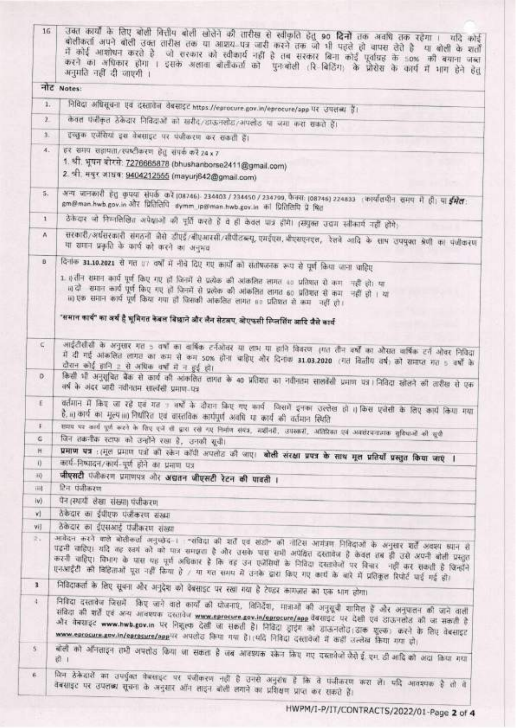| 16                     | उक्त कार्यों के लिए बोली वित्तीप बोली खोलेने की तारीख से स्वीकृति हेतु 90 <b>दिनों</b> तक अवधि तक रहेगा ।  यदि कोई<br>बोलीकर्ता अपने बोली उक्त तारीख तक या आशय. पत्र जारी करने तक जो भी पहले हो वापस लेते हैं  या बोली के शर्तों<br>में कोई आशोधन करते है <sub>ं</sub> जो सरकार को स्वीकार्य नहीं है तब सरकार बिना कोई पूर्वाप्रह के 50% की बयाना जब्दा<br>करने का अधिकार होगा । इसके अलावा बोलीकर्ता को पुनःबोली (रि बिडिंग) के प्रोसेस के कार्प में भाग हेने हेतु<br>अनुमति नहीं दी जाएगी ।         |  |  |  |  |
|------------------------|-------------------------------------------------------------------------------------------------------------------------------------------------------------------------------------------------------------------------------------------------------------------------------------------------------------------------------------------------------------------------------------------------------------------------------------------------------------------------------------------------------|--|--|--|--|
|                        | नोट Notes:                                                                                                                                                                                                                                                                                                                                                                                                                                                                                            |  |  |  |  |
|                        | निविदा अधिसूचना एवं दस्तावेज वेबसाइट https://eprocure.gov.in/eprocure/app पर उपलब्ध हैं।<br>1.                                                                                                                                                                                                                                                                                                                                                                                                        |  |  |  |  |
| $\mathbf{1}$           | केवल फंनीकृत ठेकेदार निविदाओं को खरीद/डाऊनलोड/अपलोड या जमा करा सकते हैं।                                                                                                                                                                                                                                                                                                                                                                                                                              |  |  |  |  |
| 3.                     |                                                                                                                                                                                                                                                                                                                                                                                                                                                                                                       |  |  |  |  |
|                        | इच्छुक एजेंसियां इस वेबसाइट पर पंजीकरण कर सकती हैं।                                                                                                                                                                                                                                                                                                                                                                                                                                                   |  |  |  |  |
|                        | हर समय सहायता/रपष्टीकरण हेतु संपर्क करें 24 x 7<br>4.<br>1. श्री. भूषन बोरसे: 7276665878 (bhushanborse2411@gmail.com)<br>2. श्री. मयुर जाधव: 9404212555 (mayurj642@gmail.com)                                                                                                                                                                                                                                                                                                                         |  |  |  |  |
| S.                     | अन्य जानकारी हेतु कृपया संपर्क करें (08746) 234403 / 234450 / 234799, फैक्स (08746) 224833 । कार्यातपीन समय में ही। या ईमेल<br>gm@man.hwb.gov.in और प्रितितिपि dymm ip@man.hwb.gov.in को प्रितितिपि प्रे षित                                                                                                                                                                                                                                                                                          |  |  |  |  |
| $\mathbf{1}$           | ठेकेदार जो निम्नलिखित अपेक्षाओं की पूर्ति करते हैं वे ही केवल पात्र होंगे। (संपुक्त उद्यम स्वीकार्य नहीं होंगे)                                                                                                                                                                                                                                                                                                                                                                                       |  |  |  |  |
| A                      | सरकारी/अर्धसरकारी संगठनों जैसे डीएई/बीएआरसी/सीपीटब्ल्यू एमईएस, वीएसएनएल, रेलवे आदि के साथ उपयुक्त श्रेणी का पंजीकरण<br>या रामान प्रकृति के कार्य को करने का अनुभव                                                                                                                                                                                                                                                                                                                                     |  |  |  |  |
| B.                     | दिनाक 31.10.2021 से गत 87 वर्षों में नीचे दिए गए कार्यों को संतोषजनक रूप से पूर्ण किया जाना चाहिए                                                                                                                                                                                                                                                                                                                                                                                                     |  |  |  |  |
|                        | 1. हतीन समान कार्य पूर्ण किए गए हो जिनमें से प्रत्येक की अंकलित लागत 40 प्रतिषात से कम - नहीं हो। या<br>।। दो - समान कार्य पूर्ण किए गए हो जिनमें से प्रत्येक की आंकलित लागत 60 प्रतिशत से कम - नहीं हो । या<br>16) एक समान कार्य पूर्ण किया गया हो जिसकी आंकलित लागत 60 प्रतिशत से कम- नहीं हो।                                                                                                                                                                                                      |  |  |  |  |
|                        | 'समान कार्य'' का अर्थ है भूमिगत केवल विछाने और लैन सेटअप, ओएफसी स्प्तिर्सिंग आदि जैसे कार्य                                                                                                                                                                                                                                                                                                                                                                                                           |  |  |  |  |
| C                      | आईटीसीसी के अनुसार गत 5 वर्षों का वार्षिक टर्नओवर या लाभ या हानि विवरण (गत तीन क्यों का ओसत वार्षिक टर्न ओवर निविदा<br>में दी गई आंकलित लागत का कम से कम 50% होना चाहिए और दिनाक 31.03.2020 (गत विलीय वर्ष) को समाप्त गत 5 वर्षों के<br>दौरान कोई हानि 2 से अधिक वर्षों में न हुई हो।                                                                                                                                                                                                                 |  |  |  |  |
| D.                     | किसी भी अनुसूचित बैंक से कार्य की आंकलित लागत के 40 प्रतिशत का नवीनतम सालवेंसी प्रमाण पत्र। निविदा खोलने की तारीख से एक<br>वर्ष के अंदर जारी नवीनतम सालाँसी प्रमाण पत्र                                                                                                                                                                                                                                                                                                                               |  |  |  |  |
| E.                     | वर्तमान में किए जा रहे एवं गत 7 वर्षों के दौरान किए गए कार्य जिसमें इनका उल्लेख हो 1) किस एजेंसी के लिए कार्य किया गया<br>है, ii) कार्य का मूल्य iii) नियोरित एवं वास्तविक कार्यपूर्ण अवधि या कार्य की वर्तमान स्थिति                                                                                                                                                                                                                                                                                 |  |  |  |  |
| $\downarrow$           | समय पर कर्ला पूर्ण करने के लिए एजें से द्वारा रखे गए निर्माण संबंध, महीनहीं, उपकारों, अतिरिक्त एवं अवसंस्थानात्मक सुविधाओं की सूची                                                                                                                                                                                                                                                                                                                                                                    |  |  |  |  |
| G<br>H                 | जिन तकनीक स्टापा को उन्होंने रखा है, उनकी सूची।                                                                                                                                                                                                                                                                                                                                                                                                                                                       |  |  |  |  |
| $\left  \right\rangle$ | प्रभाण पत्र : (मूल प्रमाण पत्नों को रकेन काँपी अपलोट की आए। बोली संरक्षा प्रपत्र के साथ मूल प्रतियाँ प्रस्तुत किया जाएं ।<br>कार्थ-निष्पादन/कार्य-पूर्ण होने का प्रमाण पत्र                                                                                                                                                                                                                                                                                                                           |  |  |  |  |
| $ 0\rangle$            | जीएसटी पंजीकरण प्रमाणपत्र और अद्यतन जीएसटी रेटन की पावती ।                                                                                                                                                                                                                                                                                                                                                                                                                                            |  |  |  |  |
| iiil                   | टिन पंजीकरण                                                                                                                                                                                                                                                                                                                                                                                                                                                                                           |  |  |  |  |
| $ v\rangle$            | पैन (स्थायी) लेखा संख्या) पंजीकरण                                                                                                                                                                                                                                                                                                                                                                                                                                                                     |  |  |  |  |
| V)                     | ठेकेदार का ईपीएफ पंजीकरण संख्या                                                                                                                                                                                                                                                                                                                                                                                                                                                                       |  |  |  |  |
| Vij                    | ठेकेदार का ईएसआई पंजीकरण संख्या                                                                                                                                                                                                                                                                                                                                                                                                                                                                       |  |  |  |  |
| 2.7                    | आवेदन करने वाले बोलीकर्ता अनुच्छेद-। "संविदा की शर्ते एव खडी" की नोटिस आयंत्रण निविदाओं के अनुसार शर्तें अवश्य ध्यान से<br>पढ़नी नाहिए। यदि वह स्वयं को को पात्र समझता है और उसके पास सभी अपेक्षित दस्तावेज हैं केवल तब ही उसे अपनी बोली प्रस्तुत<br>करनी चाहिए। विभाग के पास यह पूर्ण अधिकार है कि वह उन एजेंसियों के निविदा दस्तावेजों पर विचार- नहीं कर सकती है जिन्होंने<br>एनआईटी की बिहिताओं पूरा नहीं किया है / या गत समय में उनके द्वारा किए गए कार्य के बारे में प्रतिकूल रिपोर्ट पाई गई हो। |  |  |  |  |
| 3.                     | निविदाकर्ता के लिए सूचना और अनुदेश को वेबसाइट पर रखा गया है टेण्डर कामजात का एक भाग होगा।                                                                                                                                                                                                                                                                                                                                                                                                             |  |  |  |  |
| $\ddot{+}$             | निविदा दस्तावेज जिसमें किए जाने वाले कार्यों की घोजनाएं, विनिर्देश, मात्राओं की अनुसूची शामिल हैं और अनुपालन की जाने वाली<br>संविदा की शर्तें एवं अन्य आवश्यक दरसावेज www.eprocure.gov.in/eprocure/app वैबसाइट पर देखी एवं डाऊनलोड की जा सकती है<br>और बेबसाइट www.hwb.gov.in पर निशुल्क देखी जा सकती है। निविदा ड्राइंग को डाऊनलोड़ डाक शुल्क; करने के लिए बेबसाइट                                                                                                                                   |  |  |  |  |
| $5^{\circ}$            | www.eprocure.gov.in/eprocure/applik अपलोड किया गया है। (यदि निविद्य दस्तावेजो में कहीं उल्लेख किया गया हो।<br>बोली को ऑनलाइन तभी अपतोड किया जा सकता है जब आवश्यक रकेन किए गए दस्तावेजों जैसेई एम. डी आदि को अदा किया गया                                                                                                                                                                                                                                                                              |  |  |  |  |
| $\kappa$               | जिन ठेकेदारों का उपर्युक्त केस्साइट पर पंजीकरण नहीं है उनसे अनुरांध है कि वे पंजीकरण करा लें। यदि आवश्यक है तो वे<br>वेबसाइट पर उपलब्ध सूचना के अनुसार ऑन लाइन बोली लगाने का प्रशिक्षण प्राप्त कर राकते हैं।                                                                                                                                                                                                                                                                                          |  |  |  |  |

HWPM/I-P/IT/CONTRACTS/2022/01-Page 2 of 4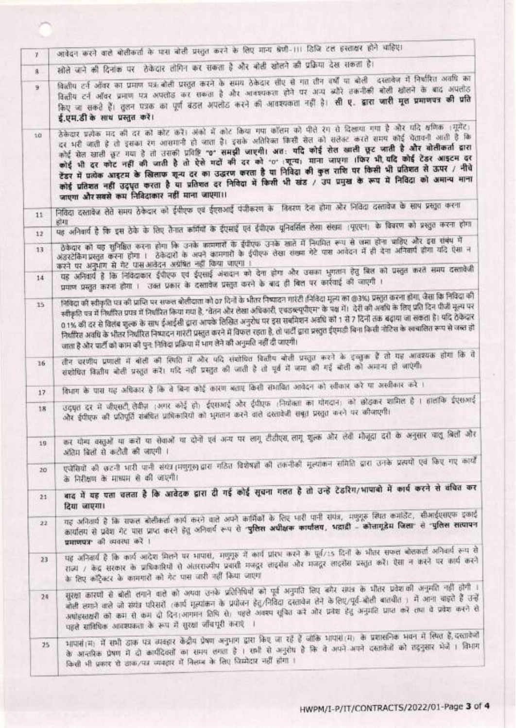| $\mathbf{Y}$    | आवेदन करने वाले बोलीकर्ता के पास बोली प्रस्तुत करने के लिए मान्य श्रेणी-111 डिजि टल इस्ताक्षर होने चाहिए।                                                                                                                                                                                                                                                                                                                                                                                                                                                                                                                                                                                                                                                      |  |  |  |  |
|-----------------|----------------------------------------------------------------------------------------------------------------------------------------------------------------------------------------------------------------------------------------------------------------------------------------------------------------------------------------------------------------------------------------------------------------------------------------------------------------------------------------------------------------------------------------------------------------------------------------------------------------------------------------------------------------------------------------------------------------------------------------------------------------|--|--|--|--|
| $8 -$           | खोले जाने की दिनांक पर   तेकेदार तीगिन कर सकता है और बोली खोलने की प्रक्रिया देख सकता है।                                                                                                                                                                                                                                                                                                                                                                                                                                                                                                                                                                                                                                                                      |  |  |  |  |
| 9               | विलीप टर्न ऑवर का प्रमाण पत्र बोली प्रस्तुत करने के समय ठेकेदार तीए से गत तीन वर्षों या बोली -दस्तावेज में निर्धारित अवधि का<br>वित्तीय टर्न ऑवर प्रमाण पत्र अपलोड कर सकता है और आवश्यकता होने पर अन्य ब्यौरे तकनीकी बोली खोलने के बाद अपलोड<br>किए जा सकते हैं। तुलन पत्रक का पूर्ण बंडल अपलोड करने की आवश्यकता नहीं है। <b>सी ए. द्वारा जारी मूल प्रमाणपत्र की प्रति</b><br>ई.एम.डी के साथ प्रस्तुत करें।                                                                                                                                                                                                                                                                                                                                                    |  |  |  |  |
| 10              | ठेकेदार प्रत्येक मद की दर को कोट करें। अंको में कोट किया गया कॉलम को पीले रंग से दिखाया गया है और पदि क्षणिक ।मूमेंट)<br>दर भरी जाती है तो इसका रंग आसमानी हो जाता है। इसके अतिरिक्त किसी सेल को सलेक्ट करते समय कोई चेतावनी आती है कि<br>कोई सेल खाली छूट गया है तो उसकी प्रविष्टि "0" समझी जाएगी। अत: यदि कोई सेल खाली छूट जाती है और बोलीकर्ता द्वारा<br>कोई भी दर कोट नहीं की जाती है तो ऐसे गदों की दर को "0" ।शून्य) माना जाएगा ।फिर भी यदि कोई टेंडर आइटम दर<br>टेंडर में प्रत्येक आइटम के खिलाफ शून्य दर का उद्धरण करता है या निविदा की कुल राशि पर किसी भी प्रतिशत से ऊपर / नीचे<br>कोई प्रतिशत नहीं उद्धृत करता है या प्रतिशत दर निविदा में किसी भी खंड / उप प्रमुख के रूप में निविदा को अमान्य माना<br>जाएगा और सबसे कम निविदाकार नहीं माना जाएगा।। |  |  |  |  |
| 11              | निविदा दस्तावेज लेते समय ठेकेदार को ईफीएफ एवं ईएराआईं पंजीकरण के विवरण देना होगा और निविदा दस्तावेज के साथ प्रस्तुत करना                                                                                                                                                                                                                                                                                                                                                                                                                                                                                                                                                                                                                                       |  |  |  |  |
| 12              | पह अनिवार्य है कि इस ठेके के लिए तैनात कॉमैयों के ईएसाई एवं ईपीएफ यूनिवर्सित लेखा संख्या ।यूएएन। के विवरण को प्रस्तुत करना होगा                                                                                                                                                                                                                                                                                                                                                                                                                                                                                                                                                                                                                                |  |  |  |  |
| 13              | ठेकेदार को यह सुनिश्चित करना होगा कि उनके कामगारों के ईपीएफ उनके खाते में नियमित रूप से जमा होना चाहिए और इस संबंध में<br>अंडरटेकिंग प्रस्तुत करना होगा । ठेकेदारों के अपने कामगारों के ईपीएफ लेखा संख्या गेटे पास आवेदन में ही देना अनिवार्य होगा यदि ऐसा न<br>करने पर अनुभाग से गेट पासआवेदन अग्रेषित नहीं किया जाएगा ।                                                                                                                                                                                                                                                                                                                                                                                                                                      |  |  |  |  |
| 14              | यह अनिवार्य है कि निविद्याकार ईपीएफ एवं ईएसाई अंशदान को देना होगा और उसका भुगतान हेतु बिल को प्रस्तुत करते समय दस्तावेजी<br>प्रमाण प्रस्तुत करना होगा । उक्त प्रकार के दस्तावेज प्रस्तुत करने के बाद ही बिल पर कार्रवाई की जाएगी ।                                                                                                                                                                                                                                                                                                                                                                                                                                                                                                                             |  |  |  |  |
| 15              | निविदा की स्वीकृति पत्र की प्राप्ति पर सफल बोलीदाता को 07 दिनों के भीतर निष्कदन गारंटी (निविदा मूल्य का @3%) प्रस्तुत करना होगा, जैसा कि निविदा की<br>स्वीकृति पत्र में निधोरित प्रपन्न में निधोरित किया गया है, "वेतन और लेखा अधिकारी, एचडब्ल्युपीएम" के पक्ष में।  देरी की अवधि के लिए प्रति दिन पीजी मूल्य पर<br>0.1% की दर से विलंब शुल्क के साथ ईआईसी द्वारा आपके लिखित अनुरोध पर इस सबमिशन अवधि को 1 से 7 दिनों तक बढ़ाया जा सकता है। यदि ठेकेदार<br>निर्धारित अवधि के भीतर निर्धारित निष्पादन गारेटी प्रस्तुत करने में विफल रहता है, तो पार्टी द्वारा प्रस्तुत ईएमडी बिना किसी नोटिस के खचालित रूप से जब्त हो<br>जाता है और पार्टी को काम की पुन: निविदा प्रक्रिया में भाग लेने की अनुमति नहीं दी जाएगी।                                                |  |  |  |  |
| $-16$           | तीन चरणीय प्रणाली में बोली की स्थिति में और पदि संशोधित वित्तीय बोली प्रस्तुत करने के इच्चुक हैं तो यह आवश्यक होगा कि वे<br>संशोधित विलीय बोली प्रस्तुत करें। मंदि नहीं प्रस्तुत की जाती है तो पूर्व में जमा की गई बोली को अमान्य हो जाएंगी।                                                                                                                                                                                                                                                                                                                                                                                                                                                                                                                   |  |  |  |  |
| 17 <sup>°</sup> | विभाग के पास यह अधिकार है कि वे बिना कोई कारण बताए किसी संभावित आवेदन को स्वीकार करें या अस्वीकार करे ।                                                                                                                                                                                                                                                                                                                                                                                                                                                                                                                                                                                                                                                        |  |  |  |  |
| 18              | उद्घृत दर में जीएसटी लेबीज़ (अगर कोई हो) ईएसआई और ईपीएफ (नियोक्ता का योगदान) को छोड़कर शामिल है । हालांकि ईएसआई<br>और ईपीएफ की प्रतिपूर्ति संबंधित प्राधिकारियों को भुगतान करने वाले दरतावेजी सबूत प्रस्तुत करने पर कीजाएगी।                                                                                                                                                                                                                                                                                                                                                                                                                                                                                                                                   |  |  |  |  |
| 19              | कर योग्य वस्तुओं या करों या सेवाओं या दोनों एवं अन्य पर लागू टीडीएस, लागू शुल्क और लेवी मौजूदा दरों के अनुसार चालू बिलों और<br>अंशिम बिलों से कटौती की जाएगी ।                                                                                                                                                                                                                                                                                                                                                                                                                                                                                                                                                                                                 |  |  |  |  |
| 20              | एजेंसियों की छटनी भारी पानी संयंत्र।मणुगुरू)द्वारा गठित विशेषज्ञों की तकनीकी मूल्यांकन समिति द्वारा उनके प्रत्ययों एवं किए गए कार्यों<br>के निरीक्षण के माध्यम से की जाएगी।                                                                                                                                                                                                                                                                                                                                                                                                                                                                                                                                                                                    |  |  |  |  |
| 21              | बाद में यह पता चलता है कि आवेदक द्वारा दी गई कोई सूचना गलत है तो उन्हें टेंडरिंग/भापाबो में कार्य करने से वंचित कर<br>दिया जाएगा।                                                                                                                                                                                                                                                                                                                                                                                                                                                                                                                                                                                                                              |  |  |  |  |
| 22              | यह अनिवार्य है कि सफल बोलीकर्ता कार्य करने वाले अपने कार्मिकों के लिए भारी पानी संयंत्र, मणुगूरु स्थित कमोडेंट, सीआईएसएफ इकाई<br>कार्यालय से प्रवेश गेट पास प्राप्त करने हेतु अनिवार्य रूप से "पुलिस अधीक्षक कार्यालय, भद्राड़ी - कोत्तागुडेम जिला" से "पुलिस सत्यापन<br>प्रमाणपत्र की व्यवस्था करें ।                                                                                                                                                                                                                                                                                                                                                                                                                                                         |  |  |  |  |
| 23              | पह अनिवार्य है कि कार्य आदेश मिलने पर भापास, मणुगुरु में कार्य प्रारंभ करने के पूर्व/15 दिनों के भीतर सफल बोलकर्ता अनिवार्य रूप से<br>राज्य / केंद्र सरकार के प्राधिकारियों से अंतरराज्यीय प्रवासी मजदूर लाइसेंस और मजदूर लाइसेंस प्रस्तुत करें। ऐसा न करने पर कार्य करने<br>के लिए कॉट्रैक्टर के कामगारों को गेट पास जारी नहीं किया जाएगा                                                                                                                                                                                                                                                                                                                                                                                                                     |  |  |  |  |
| 24              | सुरक्षा कारणी से बोली लगाने वाले को अथवा उनके प्रतिनिधियों को पूर्व अनुमति लिए बगैर सपत्र के भीतर प्रवेशकों अनुमति नहीं होगी ।<br>बोली लगाने वाले जो संगंत परिसरों (कार्प मूल्यांकन के प्रयोजन हेतू/निविदा दस्तावेज तेने के लिए/पूर्व-बोली बातचीत ) में आना चाइते हैं उन्हें<br>अधोइस्तक्षरी को कम से कम दी दिन।आगमन तिथि से) पहले अवश्य सूचित करें और प्रवेश हेतु अनुमति प्राप्त करें तथा वे प्रवेश करने से<br>पहले साबिधिक आवश्यकता के रूप में सुरक्षा जाँचपूरी कराएं                                                                                                                                                                                                                                                                                        |  |  |  |  |
| $25 -$          | भापासे।म: में सभी डाक पत्र व्यवहार केंद्रीय प्रेषण अनुभाग द्वारा किए जा रहे हैं जोकि भाषासंत्म) के प्रशासनिक भवन में स्थित हैं,दस्तावेजो<br>के आन्तरिक प्रेषण में दो कार्यदिवसों का समय लगता है । सभी से अनुरोध है कि वे अपने अपने दस्तावेजों को तदनुसार भेजें । विभाग<br>किसी भी प्रकार से डाक/पत्र व्यवहार में निलम्ब के लिए चिम्मेदार नहीं होगा ।                                                                                                                                                                                                                                                                                                                                                                                                           |  |  |  |  |
|                 |                                                                                                                                                                                                                                                                                                                                                                                                                                                                                                                                                                                                                                                                                                                                                                |  |  |  |  |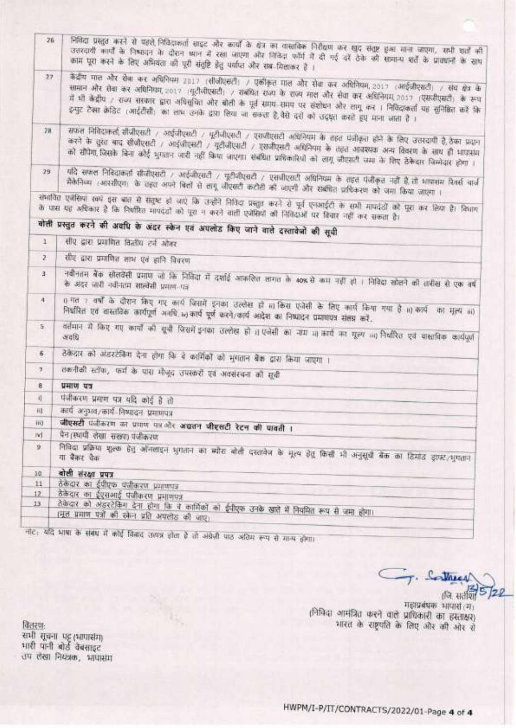|              | 26<br>निविदा प्रस्तुत करने से पहले निविदाकर्ता साइट और कार्यों के क्षेत्र का वास्तविक निरीक्षण कर खुद संतुष्ट हुआ माना जाएगा, सभी शर्ता की<br>उत्तरदायी कार्यों के निष्पादन के दौरान ध्यान में रखा जाएगा और नितिदा फॉर्म में दी गई दरें ठेके की सामान्य शर्ते के प्राक्शनों के साथ<br>काम पूरा करने के लिए अभियंता की पूरी संतुष्टि हेतु पर्याप्त और सब मिलाकर है ।           |  |  |  |  |  |
|--------------|-------------------------------------------------------------------------------------------------------------------------------------------------------------------------------------------------------------------------------------------------------------------------------------------------------------------------------------------------------------------------------|--|--|--|--|--|
| 27.          | केंद्रीय माल और रोबा कर अधिनियम 2017 (सीजीएसटी) / एकीकृत माल और सेवा कर अधिनियम, 2017 (आईजीएसटी) / संघ क्षेत्र के<br>सामान और रोबा कर अधिनियम, 2017 :यूटीजीएसटी: / संबंधित राज्य के राज्य माल और सेवा कर अधिनियम, 2017 :एसजीएसटी: के रूप                                                                                                                                      |  |  |  |  |  |
|              | में भी केंद्रीय / राज्य सरकार द्वारा अधिसुचित और बोली के पूर्व समय समय पर संशोधन और लागू कर । निविदाकर्ता यह सुनिश्चित करें कि<br>इन्पुट टैक्स क्रेडिट (आईटीसी) का लाभ उनके द्वारा लिया जा सकता है,वैसे दरों को उद्धृत करते हुए माना जाता है ।                                                                                                                                |  |  |  |  |  |
| 28           | सफल निविदाकर्ता सीजीएसटी 7 आईजीएसटी 7 धूटीजीएसटी 7 एसजीएसटी अधिनियम के तहत पंजीकृत होने के लिए उत्तरदायी है,ठेका प्रदान<br>करने के दुस्त बाद सीजीएसटी / आईजीएसटी / यूटीजीएसटी / एसजीएसटी अधिनियम के तहत आवश्यक अन्य विवरण के साथ ही भापासम<br>को सौंपैगा जिसके बिना कोई भुगतान जारी नहीं किया जाएगा। संबंधित प्राधिकारियों को लागू जीएसटी जमा के लिए ठेकेदार जिम्मेदार होगा । |  |  |  |  |  |
| $29-$        | यदि सफल निविदाकर्ता सीजीएसटी / आईजीएसटी / यूटीजीएसटी / एसजीएसटी अधिनियम के तहत पंजीकृत नहीं है तो भापासम रिवर्स बार्ज<br>मैकेनिका (आरसीएम) के तहत अपने बिलों से लागू जीएसटी कटोती की जाएगी और सब्हीरेत प्राधिकरण को जगा किया जाएगा ।                                                                                                                                          |  |  |  |  |  |
|              | संभावित एजेंसियां स्वयं इस बात से संतुष्ट हो जाएं कि उन्होंने निविदा प्रस्तुत करने से पूर्व एनआईटी के सभी मापदंडी को पूरा कर लिया है। किशन<br>के पास यह अधिकार है कि निश्तीरित मापदंडों को पूरा न करने वाली एजेसियों की निविदाओं पर विचार नहीं कर सकता है।                                                                                                                    |  |  |  |  |  |
|              | बोली प्रस्तुत करने की अवधि के अंदर स्केन एवं अपलोड किए जाने वाले दस्तावेजों की सूची                                                                                                                                                                                                                                                                                           |  |  |  |  |  |
| $\ddot{1}$   | सीए द्वारा प्रमाणित विलीय टर्न ओवर                                                                                                                                                                                                                                                                                                                                            |  |  |  |  |  |
| z.           |                                                                                                                                                                                                                                                                                                                                                                               |  |  |  |  |  |
|              | सीए द्वारा प्रमाणित लाभ एवं हानि विधरण                                                                                                                                                                                                                                                                                                                                        |  |  |  |  |  |
| $\mathbf{3}$ | नवीनतम बैंक सोलवेंसी प्रमाण जो कि निविदा में दर्शाई अफलित लागत के 40% से कम नहीं हो । निविदा खोलने की तारीख से एक वर्ष<br>के अंदर जारी नवीनतम सालोसी प्रमाण पत्र                                                                                                                                                                                                              |  |  |  |  |  |
| 4            | 0 गत 7 वर्षों के दौरान किए गए कार्य जिसमें इनका उल्लेख हो 11 किस एजेंसी के लिए कार्य किया गया है 11) कार्य<br>का मुल्य ॥॥)<br>निर्धारित एवं वास्तविक कार्यपूर्ण अवधि iv)कार्य पूर्ण करने/कार्य आदेश का निष्पादन प्रमाणपत्र संलग्न करें.                                                                                                                                       |  |  |  |  |  |
| 5.1          | वर्तमान में किए गए कार्यों की सूची जिसमें इनका उल्लेख हो ।। एजेंसी का नाम 11) कार्य का मूल्य 111) नियंत्रित एवं वास्तविक कार्यपूर्ण                                                                                                                                                                                                                                           |  |  |  |  |  |
| Б.           | ठेकेदार को अंडरटेकिंग देना होगा कि वे कार्मिकों को भुगतान बैंक द्वारा किया जाएगा ।                                                                                                                                                                                                                                                                                            |  |  |  |  |  |
| $\tau$       | तकनीकी स्टॉफ, फर्म के पास मौजूद तपस्करों एवं अवसंरचना को सूची                                                                                                                                                                                                                                                                                                                 |  |  |  |  |  |
| ē.           | प्रमाण पत्र                                                                                                                                                                                                                                                                                                                                                                   |  |  |  |  |  |
| 4            | पंजीकरण प्रमाण पत्र यदि कोई है तो                                                                                                                                                                                                                                                                                                                                             |  |  |  |  |  |
| H1           | कार्यं अनुभव/कार्य-निष्पादनं प्रमाणपत्र                                                                                                                                                                                                                                                                                                                                       |  |  |  |  |  |
| iii)         |                                                                                                                                                                                                                                                                                                                                                                               |  |  |  |  |  |
| IV)          | जीएसटी पंजीकरण का प्रमाण पत्र और अद्यतन जीएसटी रेटन की पावती ।<br>पेन (स्थायी लेखा सख्या) पंजीकरण                                                                                                                                                                                                                                                                             |  |  |  |  |  |
| ä.           | निविदा प्रक्रिया शुल्क हेतु ऑनलाइन धुगतान का ब्योरा बोली दरतावेज के मूल्य हेतु किसी भी अनुसूची बैंक का ढिमाउ ड्राफ्ट/भुगतान                                                                                                                                                                                                                                                   |  |  |  |  |  |
| 10           | बोली संरक्षा प्रपत्र                                                                                                                                                                                                                                                                                                                                                          |  |  |  |  |  |
| 11           | ठेकेदार का ईपीएफ पंजीकरण प्रमाणपत्र                                                                                                                                                                                                                                                                                                                                           |  |  |  |  |  |
| 12           | ठेकेदार का ईएसआई पंजीकरण प्रमाणपत्र                                                                                                                                                                                                                                                                                                                                           |  |  |  |  |  |
| $13 -$       | ठेकेदार को अंडरटेकिंग देना होगा कि वे कार्मिकों को ईपीएफ उनके खाते में नियमित रूप से जमा होगा।                                                                                                                                                                                                                                                                                |  |  |  |  |  |
|              | (मूल प्रमाण पत्रों की स्केन प्रति अपलोड़ की जाए)                                                                                                                                                                                                                                                                                                                              |  |  |  |  |  |

नीट: यदि भाषा के संबंध में कोई विवाद उत्पन्न होता है तो अंग्रेज़ी पाठ अंतिम रूप से मान्य होगा।

Contract

(जि. सर्वशि) गहाप्रबंधक भाषासं (ग) ।निविदा आमंत्रित करने वाले प्राधिकारी का हस्ताक्षर)<br>भारत के राष्ट्रपति के लिए और की ओर रो

<u>वितरणः</u><br>सभी सूचना पट्ट (भापासंग)<br>भारी पानी बोर्ड वेबसाइट<br>उप लेखा नियत्रक, भापासंग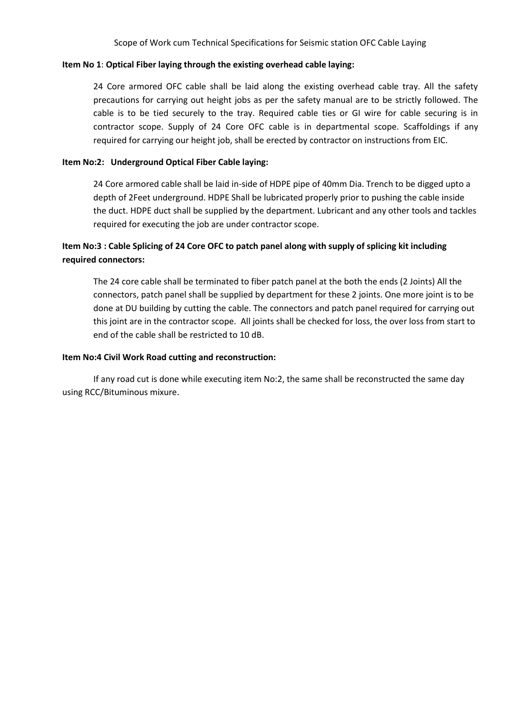#### **Item No 1**: **Optical Fiber laying through the existing overhead cable laying:**

24 Core armored OFC cable shall be laid along the existing overhead cable tray. All the safety precautions for carrying out height jobs as per the safety manual are to be strictly followed. The cable is to be tied securely to the tray. Required cable ties or GI wire for cable securing is in contractor scope. Supply of 24 Core OFC cable is in departmental scope. Scaffoldings if any required for carrying our height job, shall be erected by contractor on instructions from EIC.

#### **Item No:2: Underground Optical Fiber Cable laying:**

24 Core armored cable shall be laid in-side of HDPE pipe of 40mm Dia. Trench to be digged upto a depth of 2Feet underground. HDPE Shall be lubricated properly prior to pushing the cable inside the duct. HDPE duct shall be supplied by the department. Lubricant and any other tools and tackles required for executing the job are under contractor scope.

## **Item No:3 : Cable Splicing of 24 Core OFC to patch panel along with supply of splicing kit including required connectors:**

The 24 core cable shall be terminated to fiber patch panel at the both the ends (2 Joints) All the connectors, patch panel shall be supplied by department for these 2 joints. One more joint is to be done at DU building by cutting the cable. The connectors and patch panel required for carrying out this joint are in the contractor scope. All joints shall be checked for loss, the over loss from start to end of the cable shall be restricted to 10 dB.

#### **Item No:4 Civil Work Road cutting and reconstruction:**

If any road cut is done while executing item No:2, the same shall be reconstructed the same day using RCC/Bituminous mixure.